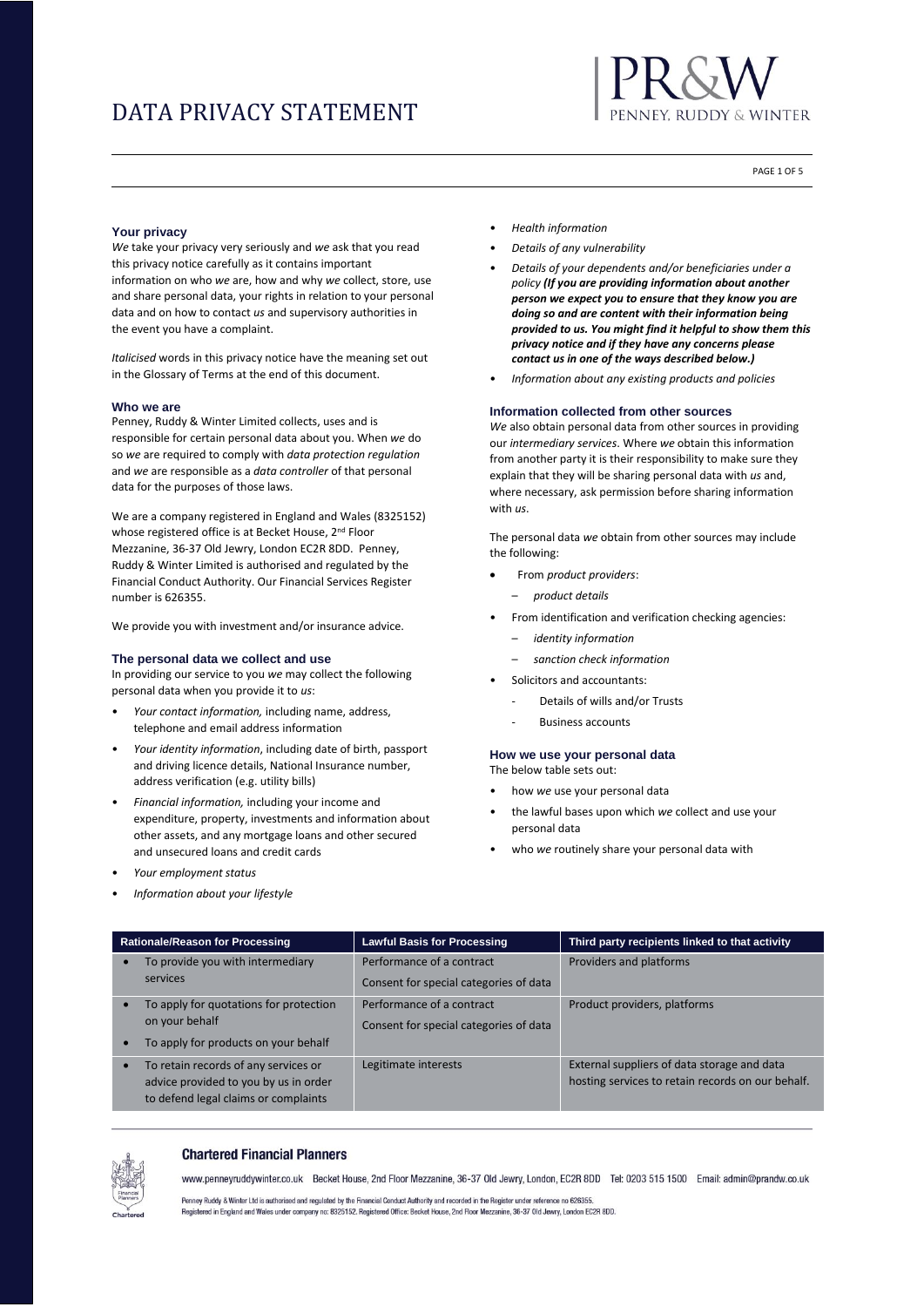

PAGE 1 OF 5

### **Your privacy**

*We* take your privacy very seriously and *we* ask that you read this privacy notice carefully as it contains important information on who *we* are, how and why *we* collect, store, use and share personal data, your rights in relation to your personal data and on how to contact *us* and supervisory authorities in the event you have a complaint.

*Italicised* words in this privacy notice have the meaning set out in the Glossary of Terms at the end of this document.

### **Who we are**

Penney, Ruddy & Winter Limited collects, uses and is responsible for certain personal data about you. When *we* do so *we* are required to comply with *data protection regulation* and *we* are responsible as a *data controller* of that personal data for the purposes of those laws.

We are a company registered in England and Wales (8325152) whose registered office is at Becket House, 2<sup>nd</sup> Floor Mezzanine, 36-37 Old Jewry, London EC2R 8DD. Penney, Ruddy & Winter Limited is authorised and regulated by the Financial Conduct Authority. Our Financial Services Register number is 626355.

We provide you with investment and/or insurance advice.

# **The personal data we collect and use**

In providing our service to you *we* may collect the following personal data when you provide it to *us*:

- *Your contact information,* including name, address, telephone and email address information
- *Your identity information*, including date of birth, passport and driving licence details, National Insurance number, address verification (e.g. utility bills)
- *Financial information,* including your income and expenditure, property, investments and information about other assets, and any mortgage loans and other secured and unsecured loans and credit cards
- *Your employment status*
- *Information about your lifestyle*
- *Health information*
- *Details of any vulnerability*
- *Details of your dependents and/or beneficiaries under a policy (If you are providing information about another person we expect you to ensure that they know you are doing so and are content with their information being provided to us. You might find it helpful to show them this privacy notice and if they have any concerns please contact us in one of the ways described below.)*
- *Information about any existing products and policies*

#### **Information collected from other sources**

*We* also obtain personal data from other sources in providing our *intermediary services*. Where *we* obtain this information from another party it is their responsibility to make sure they explain that they will be sharing personal data with *us* and, where necessary, ask permission before sharing information with *us*.

The personal data *we* obtain from other sources may include the following:

- From *product providers*:
	- *product details*
- From identification and verification checking agencies:
	- *identity information*
	- *sanction check information*
- Solicitors and accountants:
	- Details of wills and/or Trusts
	- **Business accounts**

#### **How we use your personal data** The below table sets out:

- how *we* use your personal data
- the lawful bases upon which *we* collect and use your personal data
- who *we* routinely share your personal data with

| Rationale/Reason for Processing |                                                                                                                       | <b>Lawful Basis for Processing</b>                                  | Third party recipients linked to that activity                                                   |  |  |
|---------------------------------|-----------------------------------------------------------------------------------------------------------------------|---------------------------------------------------------------------|--------------------------------------------------------------------------------------------------|--|--|
|                                 | To provide you with intermediary<br>services                                                                          | Performance of a contract<br>Consent for special categories of data | Providers and platforms                                                                          |  |  |
| $\bullet$                       | To apply for quotations for protection<br>on your behalf<br>To apply for products on your behalf                      | Performance of a contract<br>Consent for special categories of data | Product providers, platforms                                                                     |  |  |
| $\bullet$                       | To retain records of any services or<br>advice provided to you by us in order<br>to defend legal claims or complaints | Legitimate interests                                                | External suppliers of data storage and data<br>hosting services to retain records on our behalf. |  |  |



#### **Chartered Financial Planners**

www.pennevruddywinter.co.uk Becket House, 2nd Floor Mezzanine, 36-37 Old Jewry, London, EC2R 8DD Tel: 0203 515 1500 Email: admin@prandw.co.uk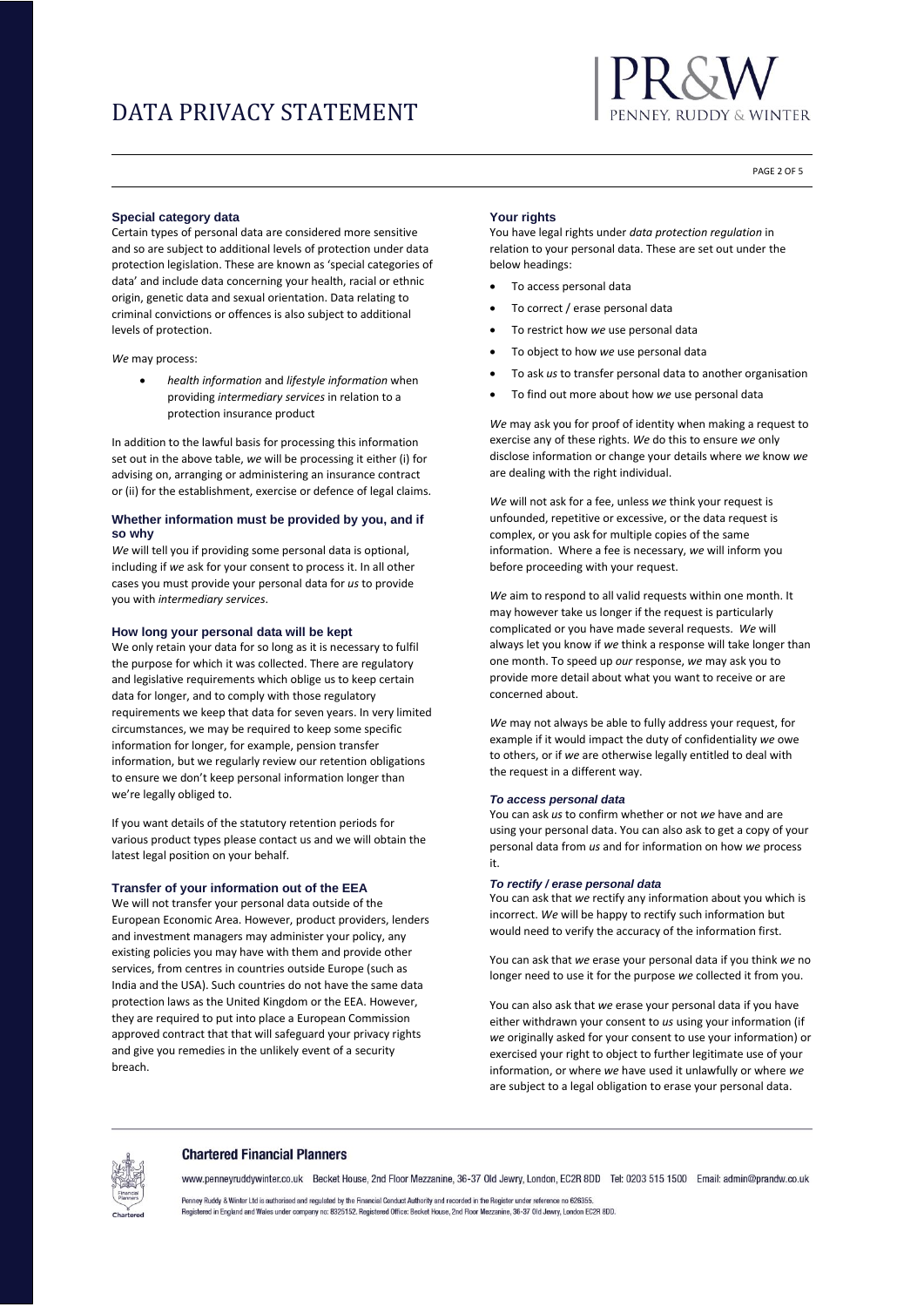

PAGE 2 OF 5

#### **Special category data**

Certain types of personal data are considered more sensitive and so are subject to additional levels of protection under data protection legislation. These are known as 'special categories of data' and include data concerning your health, racial or ethnic origin, genetic data and sexual orientation. Data relating to criminal convictions or offences is also subject to additional levels of protection.

*We* may process:

• *health information* and *lifestyle information* when providing *intermediary services* in relation to a protection insurance product

In addition to the lawful basis for processing this information set out in the above table, *we* will be processing it either (i) for advising on, arranging or administering an insurance contract or (ii) for the establishment, exercise or defence of legal claims.

### **Whether information must be provided by you, and if so why**

*We* will tell you if providing some personal data is optional, including if *we* ask for your consent to process it. In all other cases you must provide your personal data for *us* to provide you with *intermediary services*.

#### **How long your personal data will be kept**

We only retain your data for so long as it is necessary to fulfil the purpose for which it was collected. There are regulatory and legislative requirements which oblige us to keep certain data for longer, and to comply with those regulatory requirements we keep that data for seven years. In very limited circumstances, we may be required to keep some specific information for longer, for example, pension transfer information, but we regularly review our retention obligations to ensure we don't keep personal information longer than we're legally obliged to.

If you want details of the statutory retention periods for various product types please contact us and we will obtain the latest legal position on your behalf.

#### **Transfer of your information out of the EEA**

We will not transfer your personal data outside of the European Economic Area. However, product providers, lenders and investment managers may administer your policy, any existing policies you may have with them and provide other services, from centres in countries outside Europe (such as India and the USA). Such countries do not have the same data protection laws as the United Kingdom or the EEA. However, they are required to put into place a European Commission approved contract that that will safeguard your privacy rights and give you remedies in the unlikely event of a security breach.

#### **Your rights**

You have legal rights under *data protection regulation* in relation to your personal data. These are set out under the below headings:

- To access personal data
- To correct / erase personal data
- To restrict how *we* use personal data
- To object to how *we* use personal data
- To ask *us* to transfer personal data to another organisation
- To find out more about how *we* use personal data

*We* may ask you for proof of identity when making a request to exercise any of these rights. *We* do this to ensure *we* only disclose information or change your details where *we* know *we* are dealing with the right individual.

*We* will not ask for a fee, unless *we* think your request is unfounded, repetitive or excessive, or the data request is complex, or you ask for multiple copies of the same information. Where a fee is necessary, *we* will inform you before proceeding with your request.

*We* aim to respond to all valid requests within one month. It may however take us longer if the request is particularly complicated or you have made several requests. *We* will always let you know if *we* think a response will take longer than one month. To speed up *our* response, *we* may ask you to provide more detail about what you want to receive or are concerned about.

*We* may not always be able to fully address your request, for example if it would impact the duty of confidentiality *we* owe to others, or if *we* are otherwise legally entitled to deal with the request in a different way.

#### *To access personal data*

You can ask *us* to confirm whether or not *we* have and are using your personal data. You can also ask to get a copy of your personal data from *us* and for information on how *we* process it.

### *To rectify / erase personal data*

You can ask that *we* rectify any information about you which is incorrect. *We* will be happy to rectify such information but would need to verify the accuracy of the information first.

You can ask that *we* erase your personal data if you think *we* no longer need to use it for the purpose *we* collected it from you.

You can also ask that *we* erase your personal data if you have either withdrawn your consent to *us* using your information (if *we* originally asked for your consent to use your information) or exercised your right to object to further legitimate use of your information, or where *we* have used it unlawfully or where *we* are subject to a legal obligation to erase your personal data.

#### **Chartered Financial Planners**

www.penneyruddywinter.co.uk Becket House, 2nd Floor Mezzanine, 36-37 Old Jewry, London, EC2R 8DD Tel: 0203 515 1500 Email: admin@prandw.co.uk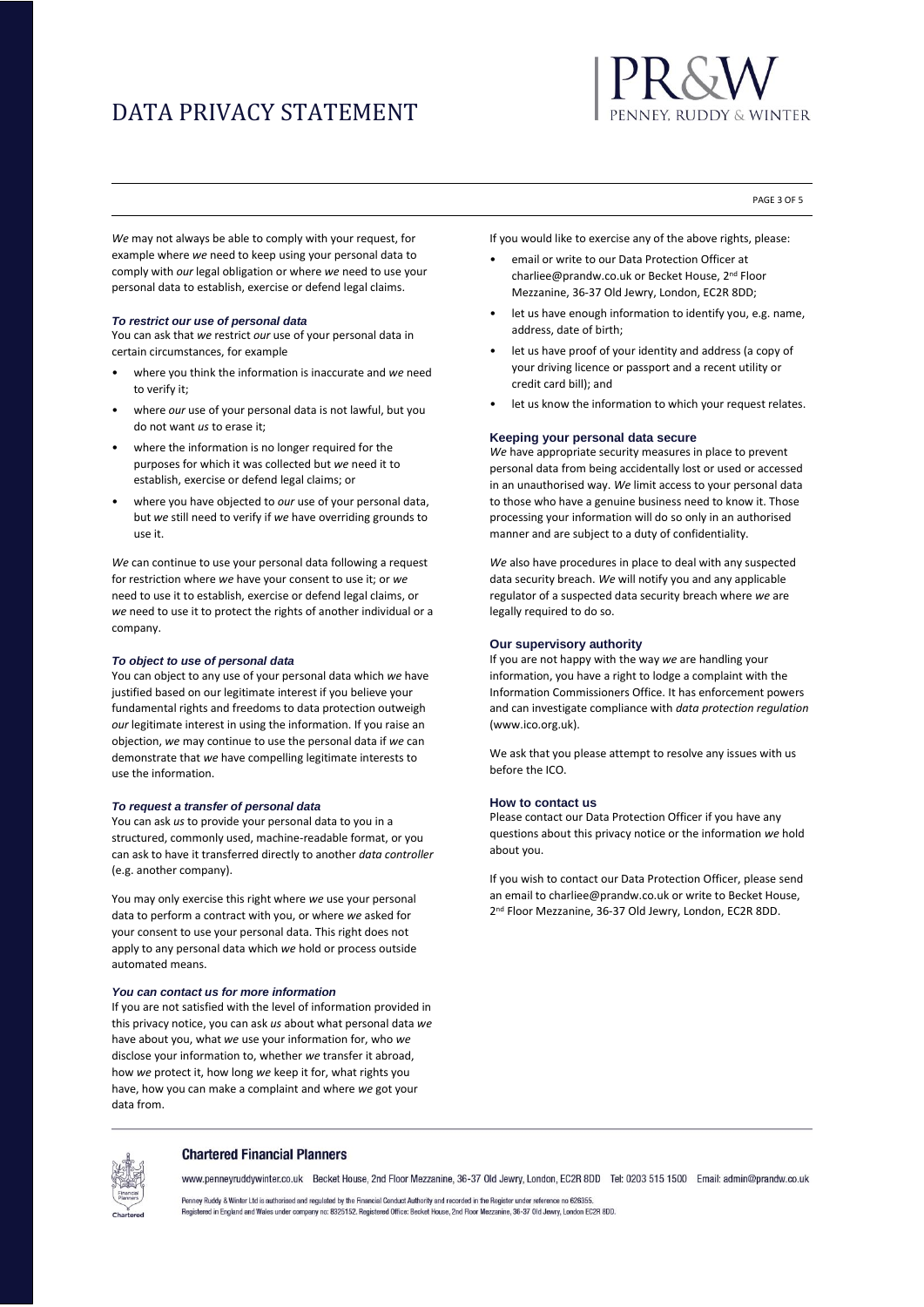

PAGE 3 OF 5

*We* may not always be able to comply with your request, for example where *we* need to keep using your personal data to comply with *our* legal obligation or where *we* need to use your personal data to establish, exercise or defend legal claims.

#### *To restrict our use of personal data*

You can ask that *we* restrict *our* use of your personal data in certain circumstances, for example

- where you think the information is inaccurate and *we* need to verify it;
- where *our* use of your personal data is not lawful, but you do not want *us* to erase it;
- where the information is no longer required for the purposes for which it was collected but *we* need it to establish, exercise or defend legal claims; or
- where you have objected to *our* use of your personal data, but *we* still need to verify if *we* have overriding grounds to use it.

*We* can continue to use your personal data following a request for restriction where *we* have your consent to use it; or *we* need to use it to establish, exercise or defend legal claims, or *we* need to use it to protect the rights of another individual or a company.

#### *To object to use of personal data*

You can object to any use of your personal data which *we* have justified based on our legitimate interest if you believe your fundamental rights and freedoms to data protection outweigh *our* legitimate interest in using the information. If you raise an objection, *we* may continue to use the personal data if *we* can demonstrate that *we* have compelling legitimate interests to use the information.

### *To request a transfer of personal data*

You can ask *us* to provide your personal data to you in a structured, commonly used, machine-readable format, or you can ask to have it transferred directly to another *data controller* (e.g. another company).

You may only exercise this right where *we* use your personal data to perform a contract with you, or where *we* asked for your consent to use your personal data. This right does not apply to any personal data which *we* hold or process outside automated means.

#### *You can contact us for more information*

If you are not satisfied with the level of information provided in this privacy notice, you can ask *us* about what personal data *we* have about you, what *we* use your information for, who *we* disclose your information to, whether *we* transfer it abroad, how *we* protect it, how long *we* keep it for, what rights you have, how you can make a complaint and where *we* got your data from.

If you would like to exercise any of the above rights, please:

- email or write to our Data Protection Officer at charliee@prandw.co.uk or Becket House, 2nd Floor Mezzanine, 36-37 Old Jewry, London, EC2R 8DD;
- let us have enough information to identify you, e.g. name, address, date of birth;
- let us have proof of your identity and address (a copy of your driving licence or passport and a recent utility or credit card bill); and
- let us know the information to which your request relates.

# **Keeping your personal data secure**

*We* have appropriate security measures in place to prevent personal data from being accidentally lost or used or accessed in an unauthorised way. *We* limit access to your personal data to those who have a genuine business need to know it. Those processing your information will do so only in an authorised manner and are subject to a duty of confidentiality.

*We* also have procedures in place to deal with any suspected data security breach. *We* will notify you and any applicable regulator of a suspected data security breach where *we* are legally required to do so.

#### **Our supervisory authority**

If you are not happy with the way *we* are handling your information, you have a right to lodge a complaint with the Information Commissioners Office. It has enforcement powers and can investigate compliance with *data protection regulation* (www.ico.org.uk).

We ask that you please attempt to resolve any issues with us before the ICO.

#### **How to contact us**

Please contact our Data Protection Officer if you have any questions about this privacy notice or the information *we* hold about you.

If you wish to contact our Data Protection Officer, please send an email to charliee@prandw.co.uk or write to Becket House, 2<sup>nd</sup> Floor Mezzanine, 36-37 Old Jewry, London, EC2R 8DD.



#### **Chartered Financial Planners**

www.penneyruddywinter.co.uk Becket House. 2nd Floor Mezzanine. 36-37 Old Jewry. London. EC2R 8DD Tel: 0203 515 1500 Email: admin@prandw.co.uk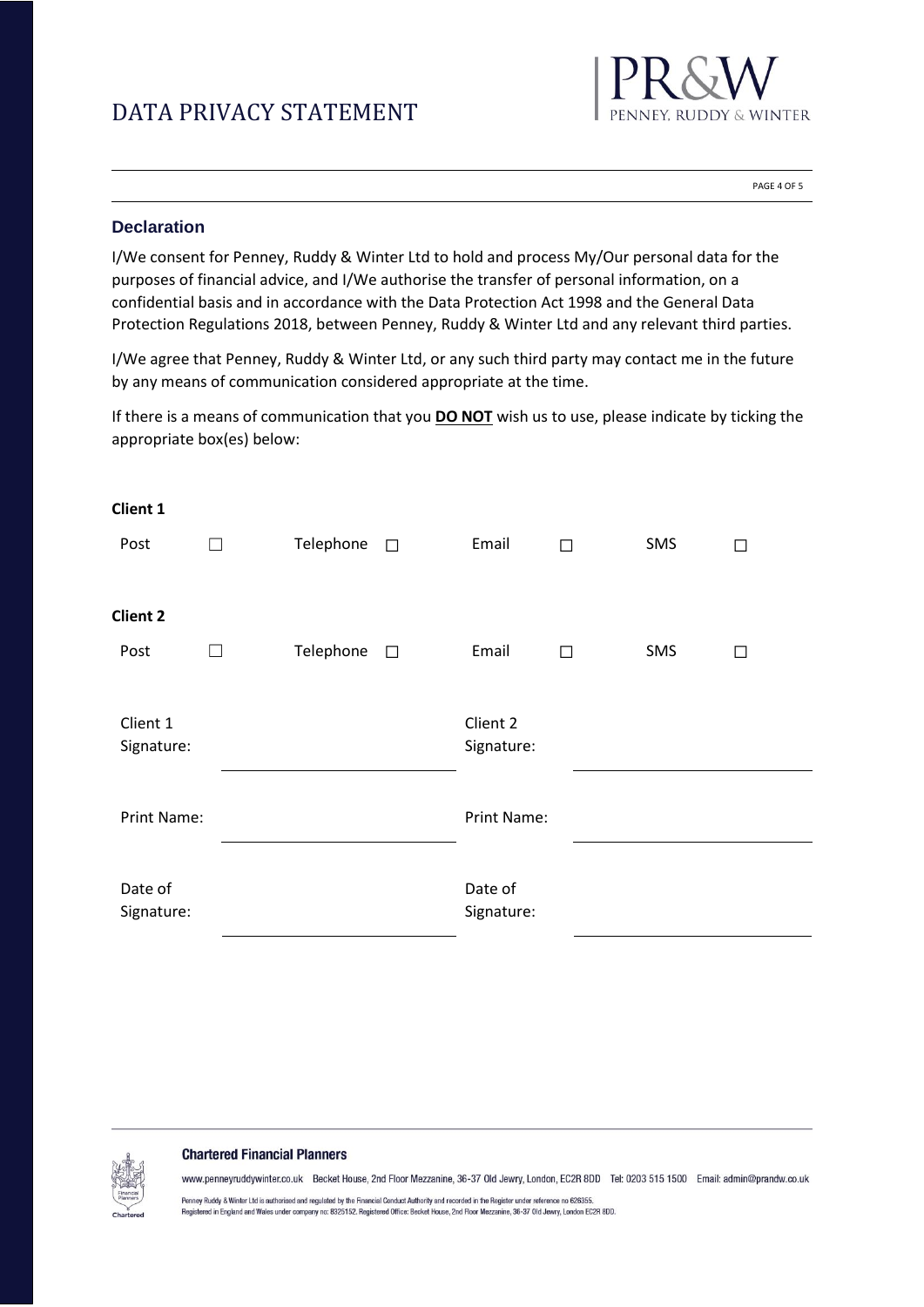

PAGE 4 OF 5

# **Declaration**

I/We consent for Penney, Ruddy & Winter Ltd to hold and process My/Our personal data for the purposes of financial advice, and I/We authorise the transfer of personal information, on a confidential basis and in accordance with the Data Protection Act 1998 and the General Data Protection Regulations 2018, between Penney, Ruddy & Winter Ltd and any relevant third parties.

I/We agree that Penney, Ruddy & Winter Ltd, or any such third party may contact me in the future by any means of communication considered appropriate at the time.

If there is a means of communication that you **DO NOT** wish us to use, please indicate by ticking the appropriate box(es) below:

| Client 1               |                   |           |                       |                        |   |     |   |  |
|------------------------|-------------------|-----------|-----------------------|------------------------|---|-----|---|--|
| Post                   | $\vert \ \ \vert$ | Telephone | $\Box$                | Email                  | П | SMS | П |  |
| <b>Client 2</b>        |                   |           |                       |                        |   |     |   |  |
| Post                   | $\Box$            | Telephone | $\Box$                | Email                  | П | SMS | □ |  |
| Client 1<br>Signature: |                   |           |                       | Client 2<br>Signature: |   |     |   |  |
| Print Name:            |                   |           | Print Name:           |                        |   |     |   |  |
| Date of<br>Signature:  |                   |           | Date of<br>Signature: |                        |   |     |   |  |

# **Chartered Financial Planners**

www.penneyruddywinter.co.uk Becket House, 2nd Floor Mezzanine, 36-37 Old Jewry, London, EC2R 8DD Tel: 0203 515 1500 Email: admin@prandw.co.uk